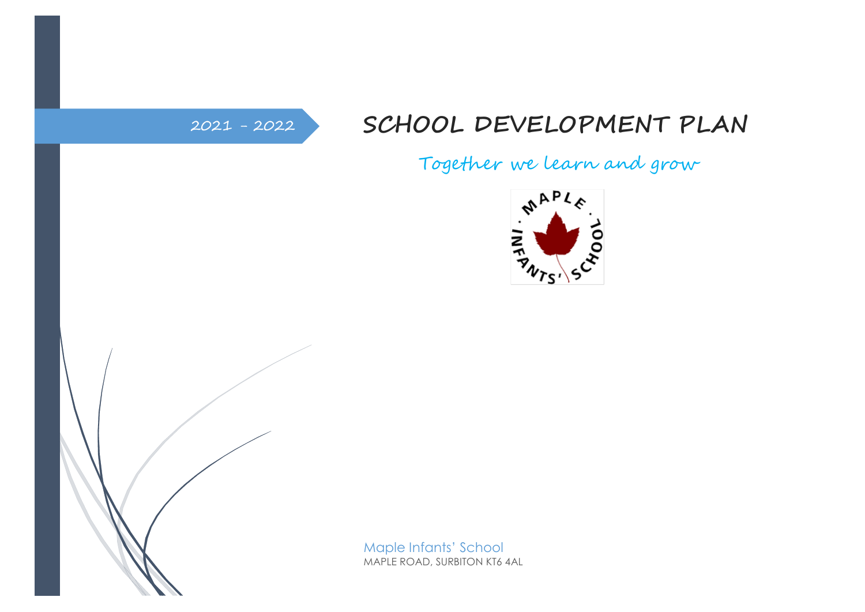## 2021 - <sup>2022</sup> **SCHOOL DEVELOPMENT PLAN**

Together we learn and grow





Maple Infants' School MAPLE ROAD, SURBITON KT6 4AL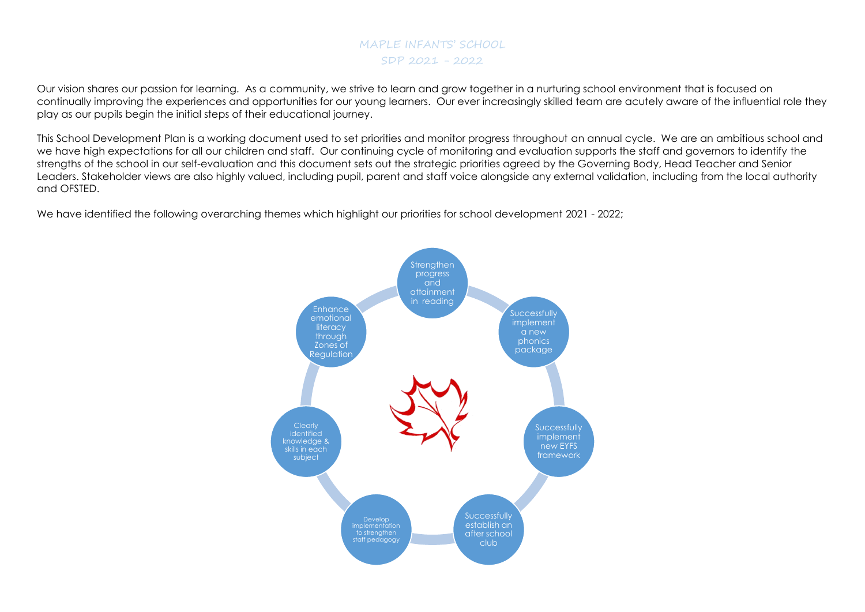## MAPLE INFANTS' SCHOOL SDP 2021 - 2022

Our vision shares our passion for learning. As a community, we strive to learn and grow together in a nurturing school environment that is focused on continually improving the experiences and opportunities for our young learners. Our ever increasingly skilled team are acutely aware of the influential role they play as our pupils begin the initial steps of their educational journey.

This School Development Plan is a working document used to set priorities and monitor progress throughout an annual cycle. We are an ambitious school and we have high expectations for all our children and staff. Our continuing cycle of monitoring and evaluation supports the staff and governors to identify the strengths of the school in our self-evaluation and this document sets out the strategic priorities agreed by the Governing Body, Head Teacher and Senior Leaders. Stakeholder views are also highly valued, including pupil, parent and staff voice alongside any external validation, including from the local authority and OFSTED.

We have identified the following overarching themes which highlight our priorities for school development 2021 - 2022;

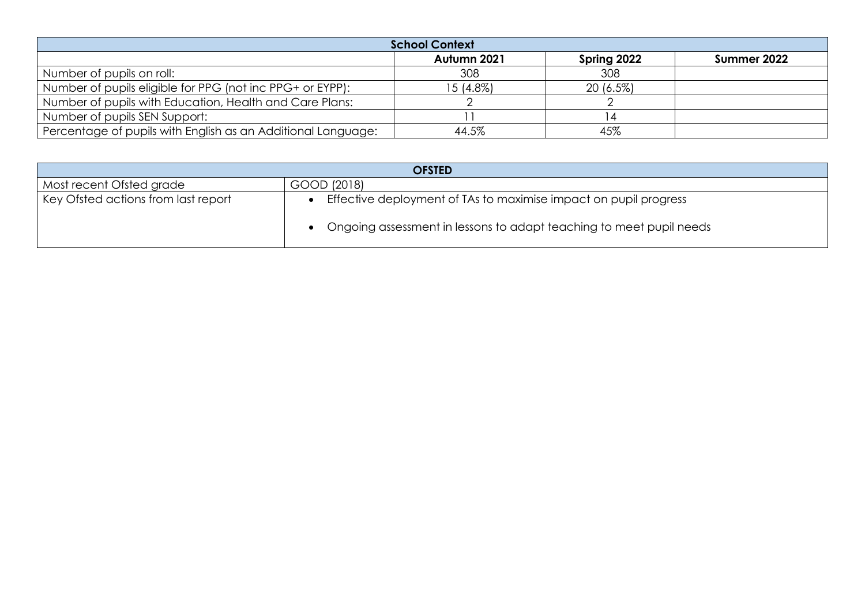| <b>School Context</b>                                        |             |             |             |  |
|--------------------------------------------------------------|-------------|-------------|-------------|--|
|                                                              | Autumn 2021 | Spring 2022 | Summer 2022 |  |
| Number of pupils on roll:                                    | 308         | 308         |             |  |
| Number of pupils eligible for PPG (not inc PPG+ or EYPP):    | $15(4.8\%)$ | $20(6.5\%)$ |             |  |
| Number of pupils with Education, Health and Care Plans:      |             |             |             |  |
| Number of pupils SEN Support:                                |             |             |             |  |
| Percentage of pupils with English as an Additional Language: | 44.5%       | 45%         |             |  |

| <b>OFSTED</b>                       |                                                                     |  |
|-------------------------------------|---------------------------------------------------------------------|--|
| Most recent Ofsted grade            | GOOD (2018)                                                         |  |
| Key Ofsted actions from last report | Effective deployment of TAs to maximise impact on pupil progress    |  |
|                                     | Ongoing assessment in lessons to adapt teaching to meet pupil needs |  |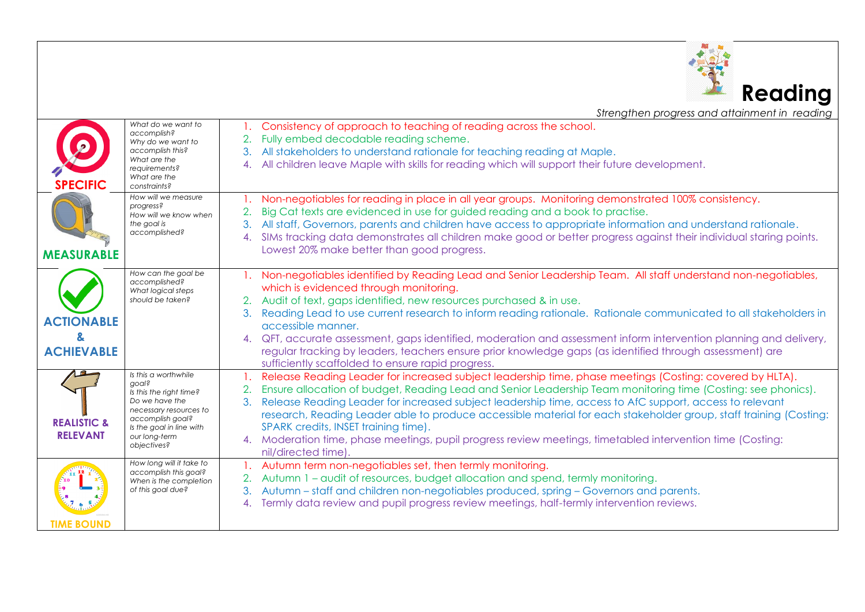

*Strengthen progress and attainment in reading* 

| <b>SPECIFIC</b>                           | What do we want to<br>accomplish?<br>Why do we want to<br>accomplish this?<br>What are the<br>requirements?<br>What are the<br>constraints?                                          | Consistency of approach to teaching of reading across the school.<br>Fully embed decodable reading scheme.<br>All stakeholders to understand rationale for teaching reading at Maple.<br>3.<br>All children leave Maple with skills for reading which will support their future development.<br>4.                                                                                                                                                                                                                                                                                                                                          |
|-------------------------------------------|--------------------------------------------------------------------------------------------------------------------------------------------------------------------------------------|---------------------------------------------------------------------------------------------------------------------------------------------------------------------------------------------------------------------------------------------------------------------------------------------------------------------------------------------------------------------------------------------------------------------------------------------------------------------------------------------------------------------------------------------------------------------------------------------------------------------------------------------|
| <b>MEASURABLE</b>                         | How will we measure<br>progress?<br>How will we know when<br>the goal is<br>accomplished?                                                                                            | Non-negotiables for reading in place in all year groups. Monitoring demonstrated 100% consistency.<br>Big Cat texts are evidenced in use for guided reading and a book to practise.<br>2.<br>All staff, Governors, parents and children have access to appropriate information and understand rationale.<br>SIMs tracking data demonstrates all children make good or better progress against their individual staring points.<br>4.<br>Lowest 20% make better than good progress.                                                                                                                                                          |
| <b>ACTIONABLE</b>                         | How can the goal be<br>accomplished?<br>What logical steps<br>should be taken?                                                                                                       | Non-negotiables identified by Reading Lead and Senior Leadership Team. All staff understand non-negotiables,<br>which is evidenced through monitoring.<br>Audit of text, gaps identified, new resources purchased & in use.<br>Reading Lead to use current research to inform reading rationale. Rationale communicated to all stakeholders in<br>3.                                                                                                                                                                                                                                                                                        |
| <b>ACHIEVABLE</b>                         |                                                                                                                                                                                      | accessible manner.<br>4. QFT, accurate assessment, gaps identified, moderation and assessment inform intervention planning and delivery,<br>regular tracking by leaders, teachers ensure prior knowledge gaps (as identified through assessment) are<br>sufficiently scaffolded to ensure rapid progress.                                                                                                                                                                                                                                                                                                                                   |
| <b>REALISTIC &amp;</b><br><b>RELEVANT</b> | Is this a worthwhile<br>doals<br>Is this the right time?<br>Do we have the<br>necessary resources to<br>accomplish goal?<br>Is the goal in line with<br>our long-term<br>objectives? | Release Reading Leader for increased subject leadership time, phase meetings (Costing: covered by HLTA).<br>Ensure allocation of budget, Reading Lead and Senior Leadership Team monitoring time (Costing: see phonics).<br>Release Reading Leader for increased subject leadership time, access to AfC support, access to relevant<br>3.<br>research, Reading Leader able to produce accessible material for each stakeholder group, staff training (Costing:<br>SPARK credits, INSET training time).<br>4. Moderation time, phase meetings, pupil progress review meetings, timetabled intervention time (Costing:<br>nil/directed time). |
| <b>TIME BOUND</b>                         | How long will it take to<br>accomplish this goal?<br>When is the completion<br>of this goal due?                                                                                     | Autumn term non-negotiables set, then termly monitoring.<br>Autumn 1 – audit of resources, budget allocation and spend, termly monitoring.<br>Autumn – staff and children non-negotiables produced, spring – Governors and parents.<br>3.<br>Termly data review and pupil progress review meetings, half-termly intervention reviews.<br>4.                                                                                                                                                                                                                                                                                                 |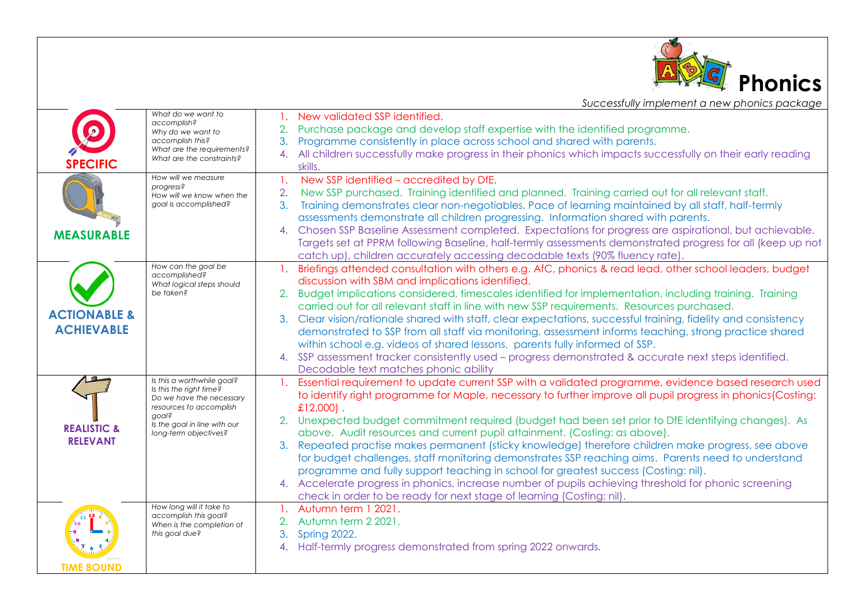

*Successfully implement a new phonics package*

|                         | What do we want to                                      | 1. New validated SSP identified.                                                                               |
|-------------------------|---------------------------------------------------------|----------------------------------------------------------------------------------------------------------------|
|                         | accomplish?<br>Why do we want to                        | Purchase package and develop staff expertise with the identified programme.                                    |
|                         | accomplish this?                                        | Programme consistently in place across school and shared with parents.<br>3.                                   |
|                         | What are the requirements?<br>What are the constraints? | 4. All children successfully make progress in their phonics which impacts successfully on their early reading  |
| <b>SPECIFIC</b>         |                                                         | skills.                                                                                                        |
|                         | How will we measure<br>progress?                        | New SSP identified - accredited by DfE.<br>$\mathbf{1}$ .                                                      |
|                         | How will we know when the                               | New SSP purchased. Training identified and planned. Training carried out for all relevant staff.<br>2.         |
|                         | goal is accomplished?                                   | Training demonstrates clear non-negotiables, Pace of learning maintained by all staff, half-termly<br>3.       |
|                         |                                                         | assessments demonstrate all children progressing. Information shared with parents.                             |
| <b>MEASURABLE</b>       |                                                         | 4. Chosen SSP Baseline Assessment completed. Expectations for progress are aspirational, but achievable.       |
|                         |                                                         | Targets set at PPRM following Baseline, half-termly assessments demonstrated progress for all (keep up not     |
|                         |                                                         | catch up), children accurately accessing decodable texts (90% fluency rate).                                   |
|                         | How can the goal be                                     | 1. Briefings attended consultation with others e.g. AfC, phonics & read lead, other school leaders, budget     |
|                         | accomplished?<br>What logical steps should              | discussion with SBM and implications identified.                                                               |
|                         | be taken?                                               | 2. Budget implications considered, timescales identified for implementation, including training. Training      |
|                         |                                                         | carried out for all relevant staff in line with new SSP requirements. Resources purchased.                     |
| <b>ACTIONABLE &amp;</b> |                                                         | 3. Clear vision/rationale shared with staff, clear expectations, successful training, fidelity and consistency |
| <b>ACHIEVABLE</b>       |                                                         | demonstrated to SSP from all staff via monitoring, assessment informs teaching, strong practice shared         |
|                         |                                                         | within school e.g. videos of shared lessons, parents fully informed of SSP.                                    |
|                         |                                                         | 4. SSP assessment tracker consistently used – progress demonstrated & accurate next steps identified.          |
|                         |                                                         | Decodable text matches phonic ability                                                                          |
|                         | Is this a worthwhile goal?                              | 1. Essential requirement to update current SSP with a validated programme, evidence based research used        |
|                         | Is this the right time?<br>Do we have the necessary     | to identify right programme for Maple, necessary to further improve all pupil progress in phonics (Costing:    |
|                         | resources to accomplish                                 | $£12,000$ .                                                                                                    |
|                         | goal?<br>Is the goal in line with our                   | 2. Unexpected budget commitment required (budget had been set prior to DfE identifying changes). As            |
| <b>REALISTIC &amp;</b>  | long-term objectives?                                   | above. Audit resources and current pupil attainment. (Costing: as above).                                      |
| <b>RELEVANT</b>         |                                                         | 3. Repeated practise makes permanent (sticky knowledge) therefore children make progress, see above            |
|                         |                                                         | for budget challenges, staff monitoring demonstrates SSP reaching aims. Parents need to understand             |
|                         |                                                         | programme and fully support teaching in school for greatest success (Costing: nil).                            |
|                         |                                                         | 4. Accelerate progress in phonics, increase number of pupils achieving threshold for phonic screening          |
|                         |                                                         | check in order to be ready for next stage of learning (Costing: nil).                                          |
|                         | How long will it take to                                | 1. Autumn term 1 2021.                                                                                         |
|                         | accomplish this goal?<br>When is the completion of      | 2. Autumn term 2 2021.                                                                                         |
|                         | this goal due?                                          | Spring 2022.<br>3.                                                                                             |
|                         |                                                         | 4. Half-termly progress demonstrated from spring 2022 onwards.                                                 |
|                         |                                                         |                                                                                                                |
| <b>TIME BOUND</b>       |                                                         |                                                                                                                |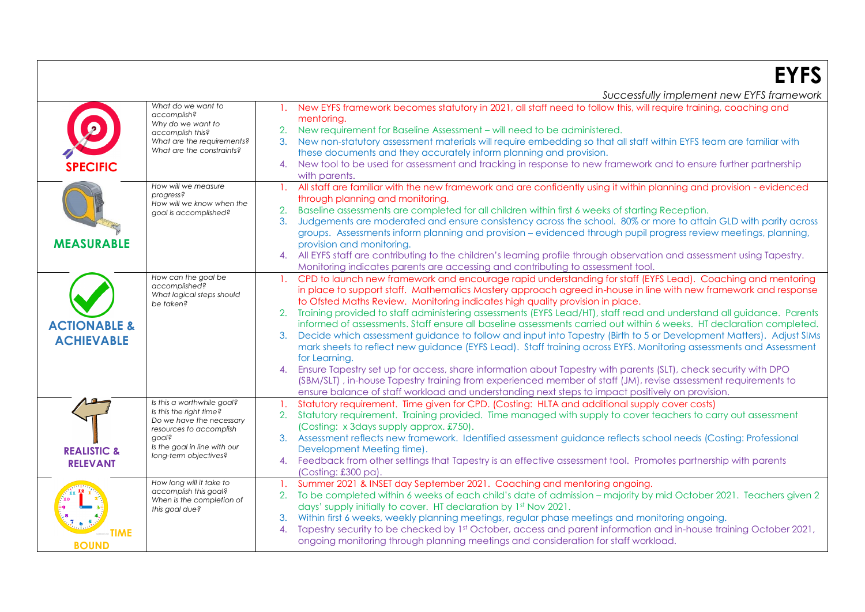**EYFS**

|                         |                                                       | Successfully implement new EYFS framework                                                                                              |
|-------------------------|-------------------------------------------------------|----------------------------------------------------------------------------------------------------------------------------------------|
|                         | What do we want to<br>accomplish?                     | New EYFS framework becomes statutory in 2021, all staff need to follow this, will require training, coaching and                       |
|                         | Why do we want to                                     | mentoring.                                                                                                                             |
|                         | accomplish this?                                      | 2. New requirement for Baseline Assessment - will need to be administered.                                                             |
|                         | What are the requirements?                            | 3. New non-statutory assessment materials will require embedding so that all staff within EYFS team are familiar with                  |
|                         | What are the constraints?                             | these documents and they accurately inform planning and provision.                                                                     |
| <b>SPECIFIC</b>         |                                                       | New tool to be used for assessment and tracking in response to new framework and to ensure further partnership<br>4.                   |
|                         |                                                       | with parents.                                                                                                                          |
|                         | How will we measure<br>progress?                      | All staff are familiar with the new framework and are confidently using it within planning and provision - evidenced<br>$\mathbf{1}$ . |
|                         | How will we know when the                             | through planning and monitoring.                                                                                                       |
|                         | goal is accomplished?                                 | Baseline assessments are completed for all children within first 6 weeks of starting Reception.                                        |
|                         |                                                       | Judgements are moderated and ensure consistency across the school. 80% or more to attain GLD with parity across<br>3.                  |
|                         |                                                       | groups. Assessments inform planning and provision – evidenced through pupil progress review meetings, planning,                        |
| <b>MEASURABLE</b>       |                                                       | provision and monitoring.                                                                                                              |
|                         |                                                       | 4. All EYFS staff are contributing to the children's learning profile through observation and assessment using Tapestry.               |
|                         |                                                       | Monitoring indicates parents are accessing and contributing to assessment tool.                                                        |
|                         | How can the goal be<br>accomplished?                  | CPD to launch new framework and encourage rapid understanding for staff (EYFS Lead). Coaching and mentoring<br>$\mathbf{1}$ .          |
|                         | What logical steps should                             | in place to support staff. Mathematics Mastery approach agreed in-house in line with new framework and response                        |
|                         | be taken?                                             | to Ofsted Maths Review. Monitoring indicates high quality provision in place.                                                          |
|                         |                                                       | Training provided to staff administering assessments (EYFS Lead/HT), staff read and understand all guidance. Parents                   |
| <b>ACTIONABLE &amp;</b> |                                                       | informed of assessments. Staff ensure all baseline assessments carried out within 6 weeks. HT declaration completed.                   |
| <b>ACHIEVABLE</b>       |                                                       | Decide which assessment guidance to follow and input into Tapestry (Birth to 5 or Development Matters). Adjust SIMs                    |
|                         |                                                       | mark sheets to reflect new guidance (EYFS Lead). Staff training across EYFS. Monitoring assessments and Assessment                     |
|                         |                                                       | for Learning.                                                                                                                          |
|                         |                                                       | Ensure Tapestry set up for access, share information about Tapestry with parents (SLT), check security with DPO<br>4.                  |
|                         |                                                       | (SBM/SLT), in-house Tapestry training from experienced member of staff (JM), revise assessment requirements to                         |
|                         |                                                       | ensure balance of staff workload and understanding next steps to impact positively on provision.                                       |
|                         | Is this a worthwhile goal?<br>Is this the right time? | Statutory requirement. Time given for CPD. (Costing: HLTA and additional supply cover costs)                                           |
|                         | Do we have the necessary                              | 2. Statutory requirement. Training provided. Time managed with supply to cover teachers to carry out assessment                        |
|                         | resources to accomplish                               | (Costing: x 3days supply approx. £750).                                                                                                |
|                         | doals                                                 | 3. Assessment reflects new framework. Identified assessment guidance reflects school needs (Costing: Professional                      |
| <b>REALISTIC &amp;</b>  | Is the goal in line with our<br>long-term objectives? | Development Meeting time).                                                                                                             |
| <b>RELEVANT</b>         |                                                       | Feedback from other settings that Tapestry is an effective assessment tool. Promotes partnership with parents                          |
|                         |                                                       | (Costing: £300 pa).                                                                                                                    |
|                         | How long will it take to                              | Summer 2021 & INSET day September 2021. Coaching and mentoring ongoing.<br>$\mathbf{1}$ .                                              |
|                         | accomplish this goal?<br>When is the completion of    | 2. To be completed within 6 weeks of each child's date of admission - majority by mid October 2021. Teachers given 2                   |
|                         | this goal due?                                        | days' supply initially to cover. HT declaration by 1st Nov 2021.                                                                       |
|                         |                                                       | Within first 6 weeks, weekly planning meetings, regular phase meetings and monitoring ongoing.                                         |
| <b>TIME</b>             |                                                       | Tapestry security to be checked by 1st October, access and parent information and in-house training October 2021,<br>4.                |
| <b>BOUND</b>            |                                                       | ongoing monitoring through planning meetings and consideration for staff workload.                                                     |
|                         |                                                       |                                                                                                                                        |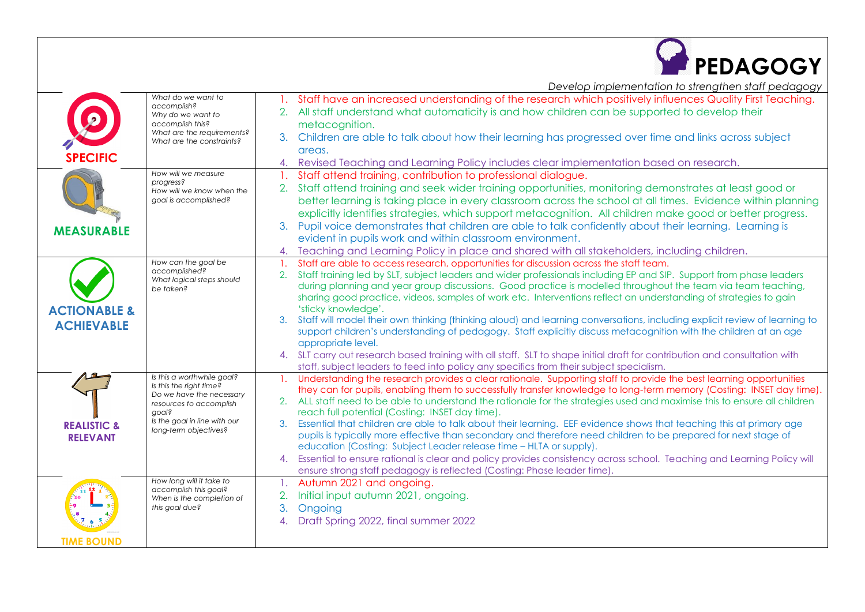

*Develop implementation to strengthen staff pedagogy*

| <b>SPECIFIC</b>                              | What do we want to<br>accomplish?<br>Why do we want to<br>accomplish this?<br>What are the requirements?<br>What are the constraints?                                          | 1. Staff have an increased understanding of the research which positively influences Quality First Teaching.<br>2. All staff understand what automaticity is and how children can be supported to develop their<br>metacognition.<br>3. Children are able to talk about how their learning has progressed over time and links across subject<br>areas.<br>4. Revised Teaching and Learning Policy includes clear implementation based on research.                                                                                                                                                                                                                                                                                                                                                                                                                                                                                                           |
|----------------------------------------------|--------------------------------------------------------------------------------------------------------------------------------------------------------------------------------|--------------------------------------------------------------------------------------------------------------------------------------------------------------------------------------------------------------------------------------------------------------------------------------------------------------------------------------------------------------------------------------------------------------------------------------------------------------------------------------------------------------------------------------------------------------------------------------------------------------------------------------------------------------------------------------------------------------------------------------------------------------------------------------------------------------------------------------------------------------------------------------------------------------------------------------------------------------|
| <b>MEASURABLE</b>                            | How will we measure<br>progress?<br>How will we know when the<br>goal is accomplished?                                                                                         | Staff attend training, contribution to professional dialogue.<br>2. Staff attend training and seek wider training opportunities, monitoring demonstrates at least good or<br>better learning is taking place in every classroom across the school at all times. Evidence within planning<br>explicitly identifies strategies, which support metacognition. All children make good or better progress.<br>3. Pupil voice demonstrates that children are able to talk confidently about their learning. Learning is                                                                                                                                                                                                                                                                                                                                                                                                                                            |
|                                              | How can the goal be                                                                                                                                                            | evident in pupils work and within classroom environment.<br>Teaching and Learning Policy in place and shared with all stakeholders, including children.<br>4.                                                                                                                                                                                                                                                                                                                                                                                                                                                                                                                                                                                                                                                                                                                                                                                                |
| <b>ACTIONABLE &amp;</b><br><b>ACHIEVABLE</b> | accomplished?<br>What logical steps should<br>be taken?                                                                                                                        | Staff are able to access research, opportunities for discussion across the staff team.<br>Staff training led by SLT, subject leaders and wider professionals including EP and SIP. Support from phase leaders<br>2.<br>during planning and year group discussions. Good practice is modelled throughout the team via team teaching,<br>sharing good practice, videos, samples of work etc. Interventions reflect an understanding of strategies to gain<br>'sticky knowledge'.<br>Staff will model their own thinking (thinking aloud) and learning conversations, including explicit review of learning to<br>3.<br>support children's understanding of pedagogy. Staff explicitly discuss metacognition with the children at an age                                                                                                                                                                                                                        |
|                                              |                                                                                                                                                                                | appropriate level.<br>4. SLT carry out research based training with all staff. SLT to shape initial draft for contribution and consultation with<br>staff, subject leaders to feed into policy any specifics from their subject specialism.                                                                                                                                                                                                                                                                                                                                                                                                                                                                                                                                                                                                                                                                                                                  |
| <b>REALISTIC &amp;</b><br><b>RELEVANT</b>    | Is this a worthwhile goal?<br>Is this the right time?<br>Do we have the necessary<br>resources to accomplish<br>goal?<br>Is the goal in line with our<br>long-term objectives? | 1. Understanding the research provides a clear rationale. Supporting staff to provide the best learning opportunities<br>they can for pupils, enabling them to successfully transfer knowledge to long-term memory (Costing: INSET day time).<br>2. ALL staff need to be able to understand the rationale for the strategies used and maximise this to ensure all children<br>reach full potential (Costing: INSET day time).<br>Essential that children are able to talk about their learning. EEF evidence shows that teaching this at primary age<br>3.<br>pupils is typically more effective than secondary and therefore need children to be prepared for next stage of<br>education (Costing: Subject Leader release time - HLTA or supply).<br>Essential to ensure rational is clear and policy provides consistency across school. Teaching and Learning Policy will<br>4.<br>ensure strong staff pedagogy is reflected (Costing: Phase leader time) |
| <b>TIME BOUND</b>                            | How long will it take to<br>accomplish this goal?<br>When is the completion of<br>this goal due?                                                                               | 1. Autumn 2021 and ongoing.<br>Initial input autumn 2021, ongoing.<br>2.<br>3.<br>Ongoing<br>Draft Spring 2022, final summer 2022<br>4.                                                                                                                                                                                                                                                                                                                                                                                                                                                                                                                                                                                                                                                                                                                                                                                                                      |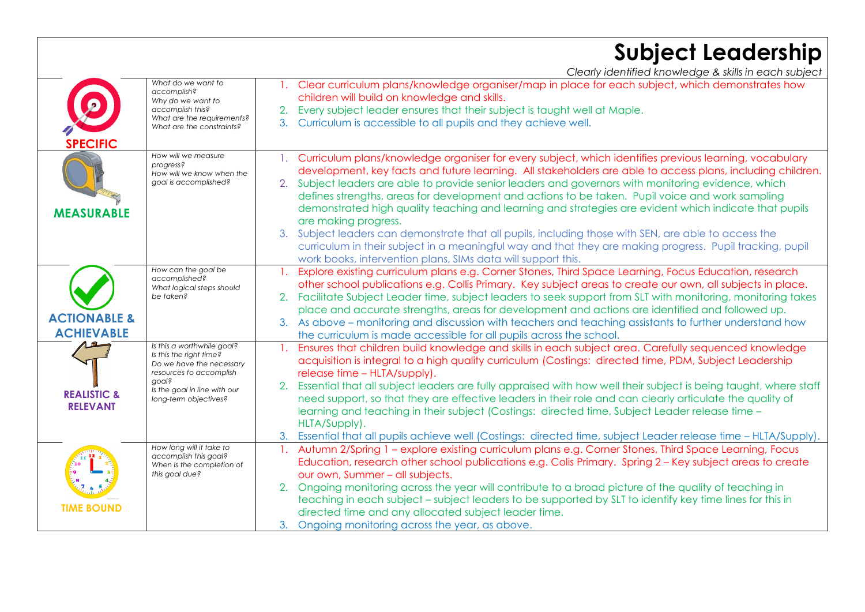## **Subject Leadership**

*Clearly identified knowledge & skills in each subject*

|                                              | What do we want to<br>accomplish?<br>Why do we want to<br>accomplish this?<br>What are the requirements?<br>What are the constraints?                                          | Clear curriculum plans/knowledge organiser/map in place for each subject, which demonstrates how<br>children will build on knowledge and skills.<br>Every subject leader ensures that their subject is taught well at Maple.<br>2.<br>3.<br>Curriculum is accessible to all pupils and they achieve well.                                                                                                                                                                                                                                                                                                                                                                                                                                                                                                                                           |
|----------------------------------------------|--------------------------------------------------------------------------------------------------------------------------------------------------------------------------------|-----------------------------------------------------------------------------------------------------------------------------------------------------------------------------------------------------------------------------------------------------------------------------------------------------------------------------------------------------------------------------------------------------------------------------------------------------------------------------------------------------------------------------------------------------------------------------------------------------------------------------------------------------------------------------------------------------------------------------------------------------------------------------------------------------------------------------------------------------|
| <b>SPECIFIC</b><br><b>MEASURABLE</b>         | How will we measure<br>progress?<br>How will we know when the<br>goal is accomplished?                                                                                         | Curriculum plans/knowledge organiser for every subject, which identifies previous learning, vocabulary<br>development, key facts and future learning. All stakeholders are able to access plans, including children.<br>2. Subject leaders are able to provide senior leaders and governors with monitoring evidence, which<br>defines strengths, areas for development and actions to be taken. Pupil voice and work sampling<br>demonstrated high quality teaching and learning and strategies are evident which indicate that pupils<br>are making progress.<br>3. Subject leaders can demonstrate that all pupils, including those with SEN, are able to access the<br>curriculum in their subject in a meaningful way and that they are making progress. Pupil tracking, pupil<br>work books, intervention plans, SIMs data will support this. |
| <b>ACTIONABLE &amp;</b><br><b>ACHIEVABLE</b> | How can the goal be<br>accomplished?<br>What logical steps should<br>be taken?                                                                                                 | Explore existing curriculum plans e.g. Corner Stones, Third Space Learning, Focus Education, research<br>other school publications e.g. Collis Primary. Key subject areas to create our own, all subjects in place.<br>2. Facilitate Subject Leader time, subject leaders to seek support from SLT with monitoring, monitoring takes<br>place and accurate strengths, areas for development and actions are identified and followed up.<br>3. As above – monitoring and discussion with teachers and teaching assistants to further understand how<br>the curriculum is made accessible for all pupils across the school.                                                                                                                                                                                                                           |
| <b>REALISTIC &amp;</b><br><b>RELEVANT</b>    | Is this a worthwhile goal?<br>Is this the right time?<br>Do we have the necessary<br>resources to accomplish<br>aoal?<br>Is the goal in line with our<br>long-term objectives? | Ensures that children build knowledge and skills in each subject area. Carefully sequenced knowledge<br>acquisition is integral to a high quality curriculum (Costings: directed time, PDM, Subject Leadership<br>release time - HLTA/supply).<br>Essential that all subject leaders are fully appraised with how well their subject is being taught, where staff<br>2.<br>need support, so that they are effective leaders in their role and can clearly articulate the quality of<br>learning and teaching in their subject (Costings: directed time, Subject Leader release time -<br>HLTA/Supply).<br>Essential that all pupils achieve well (Costings: directed time, subject Leader release time - HLTA/Supply).<br>3.                                                                                                                        |
| <b>TIME BOUND</b>                            | How long will it take to<br>accomplish this goal?<br>When is the completion of<br>this goal due?                                                                               | Autumn 2/Spring 1 - explore existing curriculum plans e.g. Corner Stones, Third Space Learning, Focus<br>Education, research other school publications e.g. Colis Primary. Spring 2 - Key subject areas to create<br>our own, Summer - all subjects.<br>Ongoing monitoring across the year will contribute to a broad picture of the quality of teaching in<br>2.<br>teaching in each subject - subject leaders to be supported by SLT to identify key time lines for this in<br>directed time and any allocated subject leader time.<br>Ongoing monitoring across the year, as above.<br>3.                                                                                                                                                                                                                                                        |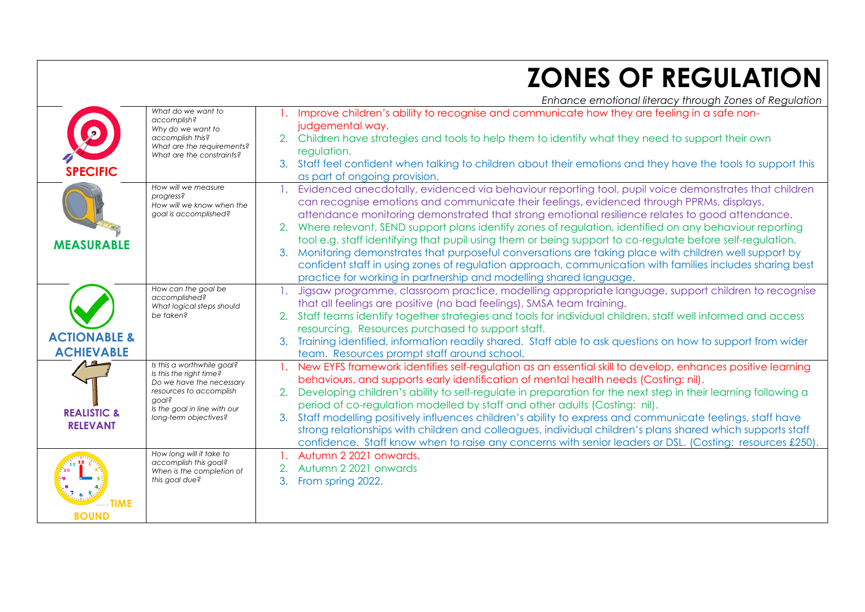## **ZONES OF REGULATION**

*Enhance emotional literacy through Zones of Regulation*

|                                              |                                                                                                                                                                                | Ennance emononameracy mrosgh zones or negoration                                                                                                                                                                                                                                                                                                                                                                                                                                                                                                                                                                                                                                                                                                                                                                                   |
|----------------------------------------------|--------------------------------------------------------------------------------------------------------------------------------------------------------------------------------|------------------------------------------------------------------------------------------------------------------------------------------------------------------------------------------------------------------------------------------------------------------------------------------------------------------------------------------------------------------------------------------------------------------------------------------------------------------------------------------------------------------------------------------------------------------------------------------------------------------------------------------------------------------------------------------------------------------------------------------------------------------------------------------------------------------------------------|
| <b>SPECIFIC</b>                              | What do we want to<br>accomplish?<br>Why do we want to<br>accomplish this?<br>What are the requirements?<br>What are the constraints?                                          | Improve children's ability to recognise and communicate how they are feeling in a safe non-<br>judgemental way.<br>2. Children have strategies and tools to help them to identify what they need to support their own<br>regulation.<br>3. Staff feel confident when talking to children about their emotions and they have the tools to support this<br>as part of ongoing provision.                                                                                                                                                                                                                                                                                                                                                                                                                                             |
| <b>MEASURABLE</b>                            | How will we measure<br>progress?<br>How will we know when the<br>goal is accomplished?                                                                                         | Evidenced anecdotally, evidenced via behaviour reporting tool, pupil voice demonstrates that children<br>can recognise emotions and communicate their feelings, evidenced through PPRMs, displays,<br>attendance monitoring demonstrated that strong emotional resilience relates to good attendance.<br>Where relevant, SEND support plans identify zones of regulation, identified on any behaviour reporting<br>2.<br>tool e.g. staff identifying that pupil using them or being support to co-regulate before self-regulation.<br>Monitoring demonstrates that purposeful conversations are taking place with children well support by<br>3.<br>confident staff in using zones of regulation approach, communication with families includes sharing best<br>practice for working in partnership and modelling shared language. |
| <b>ACTIONABLE &amp;</b><br><b>ACHIEVABLE</b> | How can the goal be<br>accomplished?<br>What logical steps should<br>be taken?                                                                                                 | Jigsaw programme, classroom practice, modelling appropriate language, support children to recognise<br>$\mathbf{1}_{\mathbf{1}_{\mathbf{1}}}$<br>that all feelings are positive (no bad feelings), SMSA team training.<br>Staff teams identify together strategies and tools for individual children, staff well informed and access<br>resourcing. Resources purchased to support staff.<br>Training identified, information readily shared. Staff able to ask questions on how to support from wider<br>team. Resources prompt staff around school.                                                                                                                                                                                                                                                                              |
| <b>REALISTIC &amp;</b><br><b>RELEVANT</b>    | Is this a worthwhile goal?<br>Is this the right time?<br>Do we have the necessary<br>resources to accomplish<br>aoal?<br>Is the goal in line with our<br>long-term objectives? | 1. New EYFS framework identifies self-regulation as an essential skill to develop, enhances positive learning<br>behaviours, and supports early identification of mental health needs (Costing: nil).<br>Developing children's ability to self-regulate in preparation for the next step in their learning following a<br>period of co-regulation modelled by staff and other adults (Costing: nil).<br>3. Staff modelling positively influences children's ability to express and communicate feelings, staff have<br>strong relationships with children and colleagues, individual children's plans shared which supports staff<br>confidence. Staff know when to raise any concerns with senior leaders or DSL. (Costing: resources £250).                                                                                      |
| <b>TIME</b><br><b>BOUND</b>                  | How long will it take to<br>accomplish this goal?<br>When is the completion of<br>this goal due?                                                                               | Autumn 2 2021 onwards.<br>Autumn 2 2021 onwards<br>From spring 2022.<br>3.                                                                                                                                                                                                                                                                                                                                                                                                                                                                                                                                                                                                                                                                                                                                                         |